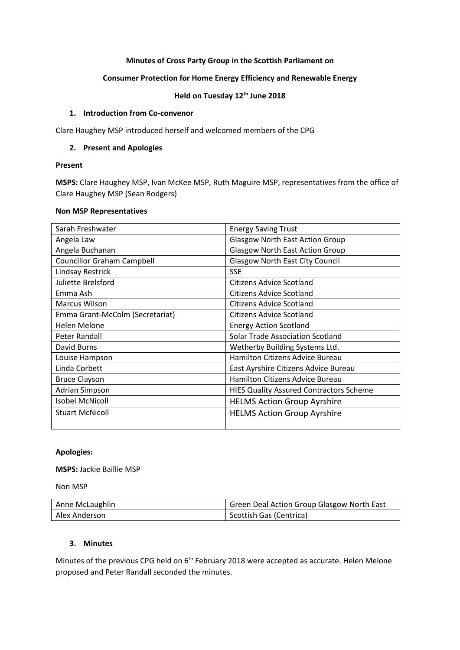## **Minutes of Cross Party Group in the Scottish Parliament on**

## **Consumer Protection for Home Energy Efficiency and Renewable Energy**

## **Held on Tuesday 12th June 2018**

## **1. Introduction from Co-convenor**

Clare Haughey MSP introduced herself and welcomed members of the CPG

## **2. Present and Apologies**

## **Present**

**MSPS:** Clare Haughey MSP, Ivan McKee MSP, Ruth Maguire MSP, representatives from the office of Clare Haughey MSP (Sean Rodgers)

#### **Non MSP Representatives**

| Sarah Freshwater                  | <b>Energy Saving Trust</b>                     |
|-----------------------------------|------------------------------------------------|
| Angela Law                        | <b>Glasgow North East Action Group</b>         |
| Angela Buchanan                   | <b>Glasgow North East Action Group</b>         |
| <b>Councillor Graham Campbell</b> | <b>Glasgow North East City Council</b>         |
| Lindsay Restrick                  | <b>SSE</b>                                     |
| Juliette Brelsford                | Citizens Advice Scotland                       |
| Emma Ash                          | Citizens Advice Scotland                       |
| Marcus Wilson                     | <b>Citizens Advice Scotland</b>                |
| Emma Grant-McColm (Secretariat)   | <b>Citizens Advice Scotland</b>                |
| Helen Melone                      | <b>Energy Action Scotland</b>                  |
| Peter Randall                     | <b>Solar Trade Association Scotland</b>        |
| David Burns                       | Wetherby Building Systems Ltd.                 |
| Louise Hampson                    | <b>Hamilton Citizens Advice Bureau</b>         |
| Linda Corbett                     | East Ayrshire Citizens Advice Bureau           |
| <b>Bruce Clayson</b>              | <b>Hamilton Citizens Advice Bureau</b>         |
| Adrian Simpson                    | <b>HIES Quality Assured Contractors Scheme</b> |
| <b>Isobel McNicoll</b>            | <b>HELMS Action Group Ayrshire</b>             |
| <b>Stuart McNicoll</b>            | <b>HELMS Action Group Ayrshire</b>             |

# **Apologies:**

**MSPS:** Jackie Baillie MSP

Non MSP

| Anne McLaughlin | Green Deal Action Group Glasgow North East |
|-----------------|--------------------------------------------|
| Alex Anderson   | Scottish Gas (Centrica)                    |

## **3. Minutes**

Minutes of the previous CPG held on 6<sup>th</sup> February 2018 were accepted as accurate. Helen Melone proposed and Peter Randall seconded the minutes.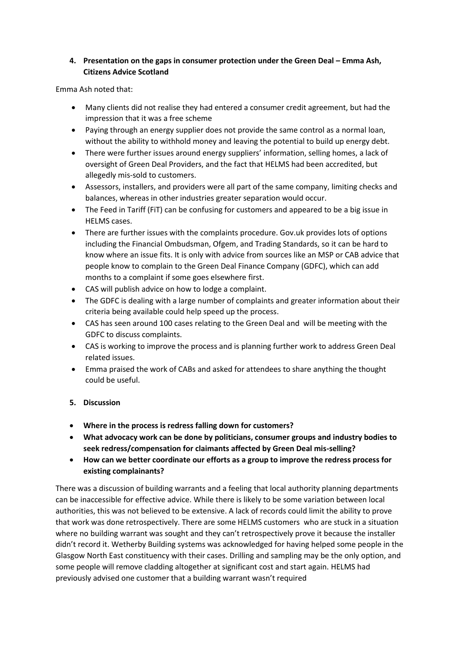# **4. Presentation on the gaps in consumer protection under the Green Deal – Emma Ash, Citizens Advice Scotland**

Emma Ash noted that:

- Many clients did not realise they had entered a consumer credit agreement, but had the impression that it was a free scheme
- Paying through an energy supplier does not provide the same control as a normal loan, without the ability to withhold money and leaving the potential to build up energy debt.
- There were further issues around energy suppliers' information, selling homes, a lack of oversight of Green Deal Providers, and the fact that HELMS had been accredited, but allegedly mis-sold to customers.
- Assessors, installers, and providers were all part of the same company, limiting checks and balances, whereas in other industries greater separation would occur.
- The Feed in Tariff (FiT) can be confusing for customers and appeared to be a big issue in HELMS cases.
- There are further issues with the complaints procedure. Gov.uk provides lots of options including the Financial Ombudsman, Ofgem, and Trading Standards, so it can be hard to know where an issue fits. It is only with advice from sources like an MSP or CAB advice that people know to complain to the Green Deal Finance Company (GDFC), which can add months to a complaint if some goes elsewhere first.
- CAS will publish advice on how to lodge a complaint.
- The GDFC is dealing with a large number of complaints and greater information about their criteria being available could help speed up the process.
- CAS has seen around 100 cases relating to the Green Deal and will be meeting with the GDFC to discuss complaints.
- CAS is working to improve the process and is planning further work to address Green Deal related issues.
- Emma praised the work of CABs and asked for attendees to share anything the thought could be useful.

# **5. Discussion**

- **Where in the process is redress falling down for customers?**
- **What advocacy work can be done by politicians, consumer groups and industry bodies to seek redress/compensation for claimants affected by Green Deal mis-selling?**
- **How can we better coordinate our efforts as a group to improve the redress process for existing complainants?**

There was a discussion of building warrants and a feeling that local authority planning departments can be inaccessible for effective advice. While there is likely to be some variation between local authorities, this was not believed to be extensive. A lack of records could limit the ability to prove that work was done retrospectively. There are some HELMS customers who are stuck in a situation where no building warrant was sought and they can't retrospectively prove it because the installer didn't record it. Wetherby Building systems was acknowledged for having helped some people in the Glasgow North East constituency with their cases. Drilling and sampling may be the only option, and some people will remove cladding altogether at significant cost and start again. HELMS had previously advised one customer that a building warrant wasn't required